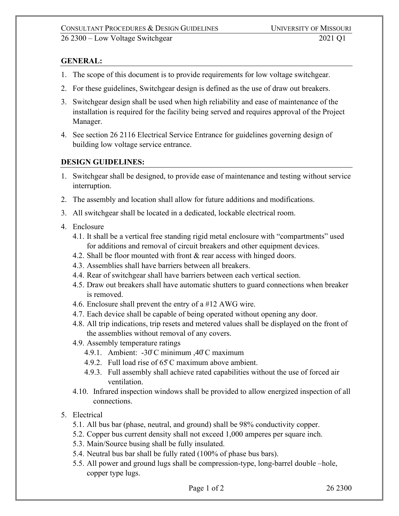## **GENERAL:**

- 1. The scope of this document is to provide requirements for low voltage switchgear.
- 2. For these guidelines, Switchgear design is defined as the use of draw out breakers.
- 3. Switchgear design shall be used when high reliability and ease of maintenance of the installation is required for the facility being served and requires approval of the Project Manager.
- 4. See section 26 2116 Electrical Service Entrance for guidelines governing design of building low voltage service entrance.

## **DESIGN GUIDELINES:**

- 1. Switchgear shall be designed, to provide ease of maintenance and testing without service interruption.
- 2. The assembly and location shall allow for future additions and modifications.
- 3. All switchgear shall be located in a dedicated, lockable electrical room.
- 4. Enclosure
	- 4.1. It shall be a vertical free standing rigid metal enclosure with "compartments" used for additions and removal of circuit breakers and other equipment devices.
	- 4.2. Shall be floor mounted with front & rear access with hinged doors.
	- 4.3. Assemblies shall have barriers between all breakers.
	- 4.4. Rear of switchgear shall have barriers between each vertical section.
	- 4.5. Draw out breakers shall have automatic shutters to guard connections when breaker is removed.
	- 4.6. Enclosure shall prevent the entry of a #12 AWG wire.
	- 4.7. Each device shall be capable of being operated without opening any door.
	- 4.8. All trip indications, trip resets and metered values shall be displayed on the front of the assemblies without removal of any covers.
	- 4.9. Assembly temperature ratings
		- 4.9.1. Ambient: -30̊C minimum ,40̊C maximum
		- 4.9.2. Full load rise of 65̊C maximum above ambient.
		- 4.9.3. Full assembly shall achieve rated capabilities without the use of forced air ventilation.
	- 4.10. Infrared inspection windows shall be provided to allow energized inspection of all connections.
- 5. Electrical
	- 5.1. All bus bar (phase, neutral, and ground) shall be 98% conductivity copper.
	- 5.2. Copper bus current density shall not exceed 1,000 amperes per square inch.
	- 5.3. Main/Source busing shall be fully insulated.
	- 5.4. Neutral bus bar shall be fully rated (100% of phase bus bars).
	- 5.5. All power and ground lugs shall be compression-type, long-barrel double –hole, copper type lugs.